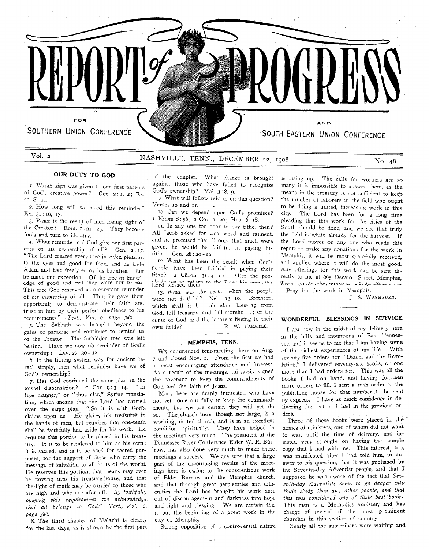

## **Vol. 2 NASHVILLE, TENN., DECEMBER 22, 1908 No. 48 No. 48**

## **OUR DUTY TO GOD**

1. WHAT sign was given to our first parents of God's creative power? Gen. 2: 1, 2; Ex.  $20: 8 - 11.$ 

2. How long will we need this reminder? Ex.  $31:16, 17.$ 

3. What is the result of men losing sight of the Creator? Rom.  $i : 2i - 25$ . They become fools and turn to idolatry.

4. What reminder did God give our first parents of his ownership of all? Gen. 2:17. " The Lord created every tree in Eden pleasant to the eyes and good for food, and he bade Adam and Eve freely enjoy his bounties. But he made one exception. Of the tree of knowledge of good and evil they were not to eat. This tree God reserved as a constant reminder of his ownership of all. Thus he gave them opportunity to demonstrate their faith and trust in him by their perfect obedience to his requirem ents."— *T est., Vol. 6, page 386.*

5. The Sabbath was brought beyond the gates of paradise and continues to remind us of the Creator. The forbidden tree was left behind. Have we now no reminder of God's ownership? Lev. 27:30 - 32.

6. If the tithing system was for ancient Israel simply, then what reminder have we of God's ownership?

7. Has God continued the same plan in the gospel dispensation? 1 Cor. 9:3-14. "In like manner," or "thus also," Syriac translation, which means that the Lord has carried over the same plan. "So it is with God's claims upon us. He places his treasures in the hands of men, but requires that one-tenth shall be faithfully laid aside for his work. He requires this portion to be placed in his treasury. It is to be rendered to him as his own; it is sacred, and is to be used for sacred pur-"poses, for the support of those who carry the message of salvation to all parts of the world. He reserves this portion, that means may ever be flowing into his treasure-house, and that the light of truth may be carried to those who are nigh and who are afar off. *By faithfully obeying this requirement we acknowledge. that all belongs to G od."*— *T est., V ol. 6, page 386.*

8. The third chapter of Malachi is clearly for the last days, as is shown by the first part of the chapter. What charge is brought against those who have failed to recognize God's ownership? Mal. 3:8, 9.

9. What will follow reform on this question? Verses 10 and 11.

10. Can we depend upon God's promises? I Kings 8:56; 2 Cor. 1:20; Heb. 6:18.

11. Is any one too poor to pay tithe, then? All Jacob asked for was bread and raiment, and he promised that if only that much were given, he w ould be faithful in paying his tithe. Gen. 28 : 20 - 22.

12. What has been the result when God's people have been faithful in paying their tithe?  $2$  Chron.  $31 : 4 - 10$ . After the people began to return to the I and his own the

13. What was the result when the people were not faithful? Neh. 13:10. Brethren, which shall it be,-abundant bless ig from God, full treasury, and full storeho c; or the curse of God, and the laborers fleeing to their own fields? R. W. PARMELE.

#### **MEMPHIS, TENN.**

WE commenced tent-meetings here on Aug. 7 and closed Nov. 1. From the first we had a most encouraging attendance and interest. As a result of the meetings, thirty-six signed the covenant to keep the commandments of God and the faith of Jesus.

Many here are deeply interested who have not yet come out fully to keep the commandments, but we are certain they will yet do so. The church here, though not large, is a working, united church, and is in an excellent condition spiritually. They have helped in the meetings very much. The president of the Tennessee River Conference, Elder W. R. Burrow, has also done very much to make these meetings a success. We are sure that a large part of the encouraging results of the meetings here is owing to the conscientious work of Elder Burrow and the Memphis church, and that through great perplexities and difficulties the Lord has brought his work here out of discouragement and darkness into hope and light and blessing. We are certain this is but the beginning of a great work in the city of Memphis.

Strong opposition of a controversial nature

is rising up. The calls for workers are so many it is impossible to answer them, as the means in the treasury is not sufficient to keep the number of laborers in the field who ought to be doing a united, increasing work in this city. The Lord has been for a long time pleading that this work for the cities of the South should be done, and we see that truly the field is white already for the harvest. If the Lord moves on any one who reads this report to make any donations for the work in Memphis, it will be most gratefully received. and applied where it will do the most good. Any offerings for this work can be sent directly to me at 665 Decator Street, Memphis, Tivel countactive, *treasurer* at  $v_3$  then need

Pray for the work in Memphis.

I. S. WASHBURN.

#### WONDERFUL BLESSINGS IN SERVICE

I AM now in the midst of my delivery here in the hills and mountains of East Tennessee, and it seems to me that I am having some of the richest experiences of my life. With seventy-five orders for "Daniel and the Revelation," I delivered seventy-six books, or one more than I had orders for. This was all the books I had on hand, and having fourteen more orders to fill, I sent a rush order to the publishing house for that number .to be sent by express. I have as much confidence in delivering the rest as I had in the previous orders. ,  $\blacksquare$ 

Three of these books were placed in the homes of ministers, one of whom did not want to wait until the time of delivery, and insisted very strongly on having the sample copy that I had with me. This interest, too, was manifested after I had told him, in answer to his question, that it was published by the Seventh-day Adventist people, and that I supposed he was aware of the fact that Seventh-day Adventists seem to go deeper into *B ible study than any other people, and that* this was considered one of their best books. This man is a Methodist minister, and has charge of several of the most prominent churches in this section of country.

Nearly all the subscribers were waiting and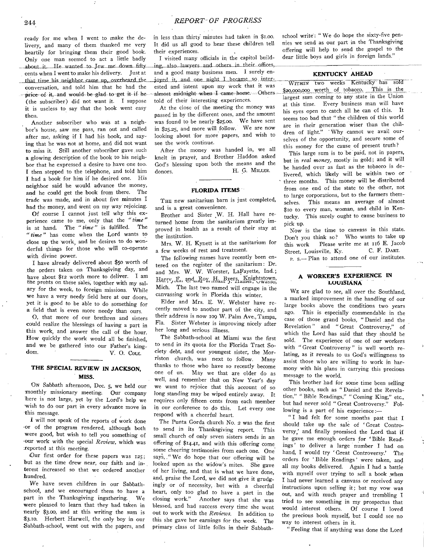ready for me when I went to make the delivery, and many of them thanked me very heartily for bringing them their good book. Only one man seemed to act a little badly ahout it. He wanted to Jew me down fifty cents when I went to make his delivery. Just at that time his neighbor came up, overheard the **joyed** it, and one night I became so interconversation, and told him that he had the price of it. and would be glad to get it if he (the subscriber) did not want it. I suppose

it is useless to say that the book went easy then. Another subscriber who was at a neighbor's house, saw me pass, ran out and called

after me, asking if I had his book, and saving that he was not at home, and did not want to miss it. Still another subscriber gave such **a** glowing description of the book to his neighbor that he expressed a desire to have one too. I then stepped to the telephone, and told him I had a book for him if he desired one. His neighbor said he would advance the money, and he could get the book from there. The trade was made, and in about five minutes I had the money, and went on my way rejoicing.

Of course I cannot just tell why this experience came to me, only that the "time" is at hand. The " time" is fulfilled. The " time" has come when the Lord wants to close up the work, and he desires to do wonderful things for those who will co-operate with divine power.

I have already delivered about \$50 worth of the orders taken on Thanksgiving day, and have about \$12 worth more to deliver. I am the profits on these sales, together with my salary for the week, to foreign missions. While we have a very needy field here at our doors. yet it is good to be able to do something for a field that is even more needy than ours.

O, that more of our brethren and sisters could realize the blessings of having a part in this work, and answer the call of the hour. How quickly the work would all be finished. and we be gathered into our Father's kingdom. V. O. Cole.

### THE SPECIAL REVIEW IN JACKSON, **M ISS.**

ON Sabbath afternoon, Dec. 5, we held our monthly missionary meeting. Our company here is not large, yet by the Lord's help we wish to do our part in every advance move in this message.

I will not speak of the reports of work done or of the program rendered, although both were good, but wish to tell you something of •our w o rk w ith the special *R eview ,* w hich was -reported at this meeting.

Our first order for these papers was  $125$ : but as the time drew near, our faith and interest increased so that we ordered another hundred.

We have seven children in our Sabbathschool, and we encouraged them to have a part in the Thanksgiving ingathering. We were pleased to learn that they had taken in nearly \$3.00, and at this writing the sum is \$3.10. Herbert Harwell, the only boy in our Sabbath-school, went out with the papers, and in less than thirty minutes had taken in \$1.00. It did us all good to hear these children tell their experiences.

I visited many officials in the capitol building, also lawyers and others in their offices,<br>and a good many business men. I surely enested and intent upon my work that it was almost midnight when I came home. Others told of their interesting experiences.

At the close of the meeting the money was passed in by the different ones, and the amount was found to be nearly  $$25.00$ . We have sent in  $$25.25$ , and more will follow. We are now looking about for more papers, and wish to see the work continue.

After the money was handed in, we all knelt in prayer, and Brother Haddon asked God's blessing upon both the means and the donors H. G. MILLER.

#### **FLORIDA ITEMS**

THE new sanitarium barn is just completed, and is a great convenience.

Brother and Sister W. H. Hall have returned home from the sanitarium greatly improved in health as a result of their stay at the institution.

Mrs. W. H. Kynett is at the sanitarium for a few weeks of rest and treatment.

The following names have recently been entered on the register of the sanitarium: Dr. and Mrs. W. W. Worster, LaFayette, Ind.; Harry, F<sub>ne</sub> and Roy, H. Byers, Knightstown, Mich. The last two named will engage in the canvassing work in Florida this winter.

Elder and Mrs. E. W. Webster have recently moved to another part of the city, and their address is now 109 W. Palm Ave., Tampa, Fla. Sister Webster is improving nicely after her long and serious illness.

The Sabbath-school at Miami was the first to send in its quota for the Florida Tract Society debt, and our youngest sister, the Morriston church, was next to follow. Many thanks to those who have so recently become one of us. May we that are older do as well, and remember that on New Year's day we want to rejoice that this account of so long standing may be wiped entirely away. It requires only fifteen cents from each member in our conference to do this. Let every one respond with a cheerful heart.

The Punta Gorda church No. 2 was the first to send in its Thanksgiving report. This small church of only seven sisters sends in an offering of \$14.41, and with this offering come some cheering testimonies from each one. One says, . "We do hope that our offering will be looked upon as the widow's mites. She gave of her living, and that is what we have done, and, praise the Lord, we did not give it grudgingly or of necessity, but with a cheerful heart, only too glad to have a part in the closing work." Another says that she was blessed, and had success every time she went out to work with the *Reviews*. In addition to this she gave her earnings for the week. The primary class of little folks in their Sabbath-

school write: "We do hope the sixty-five pennies we send as our part in the Thanksgiving offering will help to send the gospel to the dear little boys and girls in foreign lands."

#### **KENTUCKY AHEAD**

WITHIN two weeks Kentucky has sold on 2000 worth of tobacco. This is the  $$20,000,000$  worth of tobacco. largest sum coming to any state in the Union at this time. Every business man will have his eyes open to catch all he can of this. It seems too bad that "the children of this world are in their generation wiser than the children of light." 'Why cannot we avail ourselves of the opportunity, and secure some of this money for the cause of present truth?

This large sum is to be paid, not in papers, but in real money, mostly in gold; and it will be handed over as fast as the tobacco is delivered, which likely will be within two or three months. This money will be distributed from one end of the state to the other, not to large corporations, but to the farmers themselves. This means an average of almost \$10 to every man, woman, and child in Kentucky. This surely ought to cause business to pick up.

Now is the time to canvass in this state. Don't you think so? Who wants to take up this work Please write me at 116 E. Jacob Street, Louisville, Ky. C. F. DART.

**p.** s. - Plan to attend one of our institutes.

#### **A WORKER'S EXPERIENCE IN L O U ISIA N A**

WE are glad to see, all over the Southland. a marked improvement in the handling of our large books above the conditions two vears ago. This is especially commendable in the case of those grand books, "Daniel and the Revelation" and "Great Controversy," of which the Lord has said that they should be<br>sold. The experience of one of our workers The experience of one of our workers with "Great Controversy" is well worth relating, as it reveals to us God's willingness to assist those who are willing to work in harmony with his plans in carrying this precious message to the world.

This brother had for some time been selling other books, such as "Daniel and the Revelation," "Bible Readings," "Coming King," etc., but had never sold "Great Controversy." Following is a part of his experience:-

"I had felt for some months past that I should take up the sale of 'Great Controversy,' and finally promised the Lord that if he gave me enough orders for 'Bible Readings' to deliver a large number I had on hand, I would try 'Great Controversy.' The orders for 'Bible Readings' were taken, and all my books delivered. Again I had a battle with myself over trying to sell a book when I had never learned a canvass or received any instructions upon selling it; but my vow was out, and with much prayer and trembling I tried to see something in my prospectus that would interest others. Of course I loved the precious book myself, but I could see no way to interest others in it.

" Feeling that if anything was done the Lord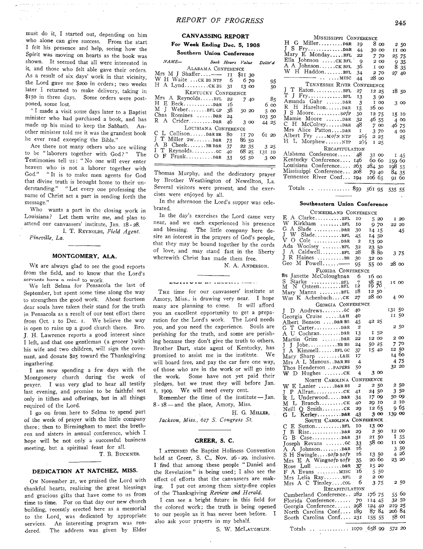must do it, I started out, depending on him who alone can give success. From the start I felt his presence and help, seeing how the Spirit was moving on hearts as the book was shown. It seemed that all were interested in it, and those who felt able gave their orders. As a result of six days' work in that vicinity, the Lord gave me \$200 in orders; two weeks later I returned to make delivery, taking in \$150 in three days. Some orders were postponed, some lost.

 $\sim$   $\sim$  $\sim$ 

> " I made a visit some days later to a Baptist minister who had purchased a book, and has made up his mind to keep the Sabbath. Another minister told me it was the grandest book he ever read excepting the Bible."

> Are there not many others who are willing to be "laborers together with God?" The Testimonies tell us: "No one will ever enter heaven who is not a laborer together with God." "It is to make men agents for God that divine truth is brought home to their understanding." " Let every one professing the name of Christ act a part in sending forth the message."

> Who wants a part in the closing work in Louisiana? Let them write me, and plan to attend our canvassers' institute, Jan. 18-28.

I. T. REYNOLDS, Field Agent. *Pin eville, La.*

#### **MONTGOMERY, ALA.**

WE are always glad to see the good reports from the field, and to know that the Lord's servants have a mind to work.

We left Selma for Pensacola the last of September, but spent some time along the way to strengthen the good work. About fourteen dear souls have taken their stand for the truth in Pensacola as a result of our tent effort there from Oct. I to Dec. I. We believe the way is open to raise up a good church there. Bro. J. H. Lawrence reports a good interest since I left, and that one gentleman (a grocer ) with his wife and two children, will sign the covenant, and donate \$25 toward the Thanksgiving ingathering.

I am now spending a few days with the Montgomery church during the week of prayer. I was very glad to hear all testify last evening, and promise to be faithful not only in tithes and offerings, but in all things required of the Lord.

I go on from here to Selma to spend part of the week of prayer with the little company there; then to Birmingham to meet the brethren and sisters in annual conference, which I hope will be not only a successful business meeting, but a spiritual feast for all.

T. B. BUCKNER.

#### **DEDICATION AT NATCHEZ, MISS.**

ON November 21, we praised the Lord with thankful hearts, realizing the great blessings and gracious gifts that have come to us from time to time. For on that day our new church building, recently erected here as a memorial to the Lord, was dedicated by appropriate services. An interesting program was rendered. The address was given by Elder

## **CANVASSING REPORT** For Week Ending Dec. 5, 1908

**Southern Union Conference** 

| $19777777 -$            | Book Hours Value Deliv'd |         |       |        |       |
|-------------------------|--------------------------|---------|-------|--------|-------|
| ALABAMA CONFERENCE      |                          |         |       |        |       |
| Mrs M J Shaffer-- 11    |                          | \$11 30 |       |        |       |
| W H Waite  CK BS NTP 6  |                          |         | 6 70  |        | 95    |
| H A LyndcKBS 3I         |                          |         | 13 00 |        | 50    |
| KENTUCKY CONFERENCE     |                          |         |       |        |       |
| Mrs A ReynoldsBFL       | 22                       |         | 740   |        | -85   |
|                         |                          |         |       |        | 6 оо  |
| $M$ J Weber $BFL$ GP 38 |                          |         | 50 20 |        | 5 00  |
| Chas Romines  D&R       | 24                       |         |       | 103 50 |       |
| R A Crider D&R          | 46                       |         | 3 00  |        | 44 25 |
| LOUISIANA CONFERENCE    |                          |         |       |        |       |
| C L Collison D&R BR     | 80                       |         | II 70 |        | 61 20 |
| J T Miller 2wD&R        | 73                       | 8650    |       |        |       |
| A B CheekBRD&R          | 37                       |         | 22 35 |        | 3 25  |
| I T Reynoldscc          | 40                       |         | 68 25 | 131 10 |       |
|                         | 33                       | 95 50   |       |        | 3 00  |
|                         |                          |         |       |        |       |

Thomas Murphy, and the dedicatory prayer by Brother Weathington of Newellton, La. Several visitors were present, and the exercises were enjoyed by all.

In the afternoon the Lord's supper was celebrated.

In the day's exercises the Lord came very near, and we each experienced his presence and blessing. The little company here desire an interest in the prayers of God's people, that they may be bound together by the cords of love, and may stand fast in the liberty wherewith Christ has made them free.

N. A. ANDERSON.

#### BUILD VID BY INVESTS, HERR

THE time for our canvassers' institute at Amory, Miss., is drawing very near. I hope many are planning to come. It will afford you an excellent opportunity to get a preparation for the Lord's work. The Lord needs you, and you need the experience. Souls are perishing for the truth, and some are perishing because they don't give the truth to others. Brother Dart, state agent of Kentucky, has promised to assist me in the institute. We will board free, and pay the car fare one way, of those who are in the work or will go into the work. Some have not yet paid their pledges, but we trust they will before Jan. 1, 1909. We will need every cent.

Remember the time of the institute - Jan.  $8 - 18$  — and the place, Amory, Miss.

H. G. MILLER,

*Jackson, M iss., 617 S. Congress St.*

#### **GREER, S. C.**

I ATTENDED the Baptist Holiness Convention held at Greer, S. C., Nov.  $26 - 29$ , inclusive. I find that among these people "Daniel and the Revelation" is being used; I also see the effect of efforts that the canvassers are making. I put out among them sixty-five copies of the Thanksgiving *Review and Herald*.

I can see a bright future in this field for the colored work; the truth is being opened to our people as it has never been before. I also ask your prayers in my behalf.

S. W. McLAUGHLIN.

| MISSISSIPPI CONFERENCE     |                |        |       |        |       |
|----------------------------|----------------|--------|-------|--------|-------|
| H G Miller D&R             | 19             |        | 8 00  |        | 250   |
|                            | 44             |        | 30 00 |        | II 00 |
| Mary E MondayBFL           | 22             |        | 770   |        | 25 75 |
| Ella Johnson CK BFL        | -9             |        | 2 00  |        | 935   |
| A A JohnsonCK BFL          | 36             |        | I 00  |        | 8 35  |
| W H HaddonBFL              | 34             |        | 2 70  |        | 27 40 |
| $\ldots$ MISC              | 44             |        | 28 00 |        |       |
| TENNESSEE RIVER CONFERENCE |                |        |       |        |       |
| J T EatonBFL<br>T J FryBFL | 27             |        | 12 25 |        | 1850  |
|                            | 13             |        | 3 90  |        |       |
| Amanda Gahr  D&R           | 3              |        | I 00  |        | 3 00  |
| R H Hazelton D&R           | 15.            | 16 00  |       |        |       |
| J S Mooresofr              | 50             | 12 75  |       |        | 15 10 |
| Mamie Moore  D&R           | 32             | 46 55  |       |        | 4 0 0 |
| C H McColrey D&R           | 48             |        | 700   | 46 75  |       |
| Mrs Alice PattonD&R        | I              |        | 370   |        | 4 00  |
| Albert Fry  MofN NTP       | $2\frac{1}{2}$ |        | 2 25  |        | -25   |
| H L MorphewNTP             | $2\frac{1}{2}$ |        | I 25  |        |       |
| RECAPITULATION             |                |        |       |        |       |
| Alabama Conference         | 48             | 31 00  |       |        | 145   |
| Kentucky Conference        | 146            | 60 60  |       | 159 60 |       |
| Louisiana Conference       | 263            | 284 30 |       | 19855  |       |
| Mississippi Conference 208 |                | 79 40  |       | 84 35  |       |
| Tennessee River Conf 194   |                | 106 65 |       | 91 60  |       |
| Totals   859 561 95 535 55 |                |        |       |        |       |

#### **Southeastern Union Conference**

| CUMBERLAND CONFERENCE                              |                  |                      |        |      |
|----------------------------------------------------|------------------|----------------------|--------|------|
| A ClarkeBFL<br>E.                                  | 10               | 5 20                 |        | 1 20 |
| W Kirkham BFL                                      | 10               | 9 70                 | 22 20  |      |
|                                                    | 30               | 14 15                |        | 45   |
| W<br>L<br>SladeBFL                                 | 45               | 14 50                |        |      |
| O Cole<br>v<br>$\ldots \ldots \ldots \text{D&R}$   | 2                | 13 90                |        |      |
| Ada<br>Woolsey BEL                                 | 32               | 23<br>50             |        |      |
| Caldwell. BFL<br>A<br>L                            | 28               | 8 8 <sub>o</sub>     |        |      |
| $\mathbb{R}$<br>Haines BR<br>L                     | 30               | 32 00                | 375    |      |
| Geo<br>M Powell                                    |                  |                      | 28 00  |      |
|                                                    | 95               | 55 00                |        |      |
| FLORIDA CONFERENCE                                 |                  |                      |        |      |
| Mrs Janette McColoughD&R                           | 6                | 16 oo                |        |      |
| S Starke BFL<br>M N OsteenBFL                      | 7<br>ī2          | 38 z5                | IS 00  |      |
|                                                    | 18               | 12 50                |        |      |
| Mary Manns BFL                                     | 27               | 28 00                | 4 00   |      |
| Wm K Achenbachck                                   |                  |                      |        |      |
| <b>GEORGIA CONFERENCE</b>                          |                  |                      | 131    | 50   |
| T<br>D.                                            | 40               |                      | II     | 50   |
| Georgia Cruise L&H                                 | 40               |                      |        |      |
| Albert Benson D&R BS                               | 45               | 42 25                | 2,50   |      |
| G T Carter D&R                                     | 2                |                      |        |      |
|                                                    | 13               | I 50                 |        |      |
| Martin Grim D&R                                    | 22               | 12 00                | 200    |      |
| J<br>J                                             | 24               | 50 25                | 7 70   |      |
| KimmellBFLGC<br>T<br>A                             | 37               | 15 40                | 12 50  |      |
| Mary Sharp L&H                                     | 17               |                      | 14 60  |      |
| Mrs A L Manous. . D&R BS                           | 4                |                      | 475    |      |
| Thos Henderson PAPERS                              | 50               |                      | 32 20  |      |
|                                                    |                  |                      |        |      |
| $W$ D Hughes $CK$                                  | 4                | 3 00                 |        |      |
| NORTH CAROLINA                                     |                  | CONFERENCE           |        |      |
|                                                    | $\overline{a}$   | 250                  | 250    |      |
| W E Lanier  D&R BS                                 | 41               | 24 50                |        | 3 50 |
| $J$ P Allran $CK$                                  | 34               | 17 09                | 50 09  |      |
| R L UnderwoodD&R                                   | 40               | 29 10                |        | 2 10 |
| $L$ Branch $CK$<br>м                               | 29               | 12 65                |        | 965  |
| $\text{Neill Q Smith} \dots \dots \dots \text{CK}$ | 43.              | 300                  | 139 00 |      |
| G<br>L.                                            |                  | <b>CONFERENCE</b>    |        |      |
| SOUTH CAROLINA                                     | IΟ               | 13 00                |        |      |
| $\mathbf C$<br>SuttonBFL<br>E                      | 20               | 2 50                 | 12 00  |      |
| J<br>В                                             |                  |                      | Í.     | 55   |
| G                                                  | 31               | 21 50<br>58 00       | II 00  |      |
| Joseph Revans GC                                   | 33               |                      |        |      |
| A A JohnsonD&R                                     | 16               |                      |        | 3 50 |
| S H Swingle sofp sofp                              | 16               | 13 50                |        | 4 26 |
| Mrs E A Wingsofp sofp                              | 35               | 20 60                | 23 20  |      |
| Rose Lull  D&R                                     | 37               | 15 20                |        |      |
| A Evans MISC<br>F                                  | Ί6               | 550                  |        |      |
| Mrs Lelia RayBFL                                   | $\boldsymbol{2}$ | 2 00                 |        |      |
| $Mrs$ A C Tinsley $colL}$                          | 6                | 3 75                 |        | 2 50 |
| RECAPITULATION                                     |                  |                      |        |      |
| Cumberland Conference                              | 282              | 176 75               | 55     | 60   |
| Florida Conference                                 | 70               | 114 45               | 32     | 50   |
| Georgia Conference 298                             |                  | 124 40               | 219 25 |      |
| North Carolina Conf                                | 189              | 87 84                | 20684  |      |
| South Carolina Conf 231                            |                  | 155<br>-55           | 58     | ΟI   |
| Totals<br>$\ddot{\phantom{a}}$                     |                  | $\ldots$ 1070 658 99 | 572 20 |      |